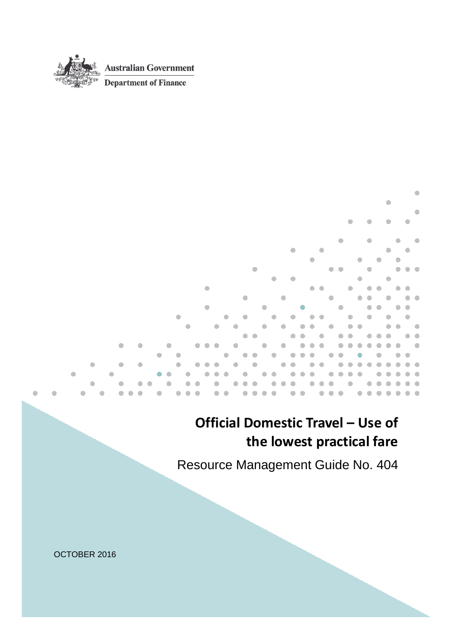

<span id="page-0-0"></span>٠

# **Official Domestic Travel – Use of the lowest practical fare**

٠

Resource Management Guide No. 404

OCTOBER 2016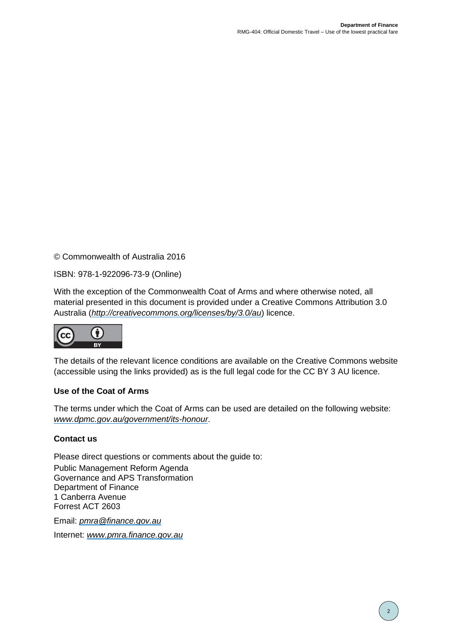© Commonwealth of Australia 2016

ISBN: 978-1-922096-73-9 (Online)

With the exception of the Commonwealth Coat of Arms and where otherwise noted, all material presented in this document is provided under a Creative Commons Attribution 3.0 Australia (*[http://creativecommons.org/licenses/by/3.0/au](http://creativecommons.org/licenses/by/3.0/au/)*) licence.



The details of the relevant licence conditions are available on the Creative Commons website (accessible using the links provided) as is the full legal code for the CC BY 3 AU licence.

#### **Use of the Coat of Arms**

The terms under which the Coat of Arms can be used are detailed on the following website: *[www.dpmc.gov.au/government/its-honour](http://www.dpmc.gov.au/government/its-honour)*.

#### **Contact us**

Please direct questions or comments about the guide to: Public Management Reform Agenda Governance and APS Transformation Department of Finance 1 Canberra Avenue Forrest ACT 2603

Email: *[pmra@finance.gov.au](mailto:pmra@finance.gov.au)*

Internet: *[www.pmra.finance.gov.au](http://www.pmra.finance.gov.au/)*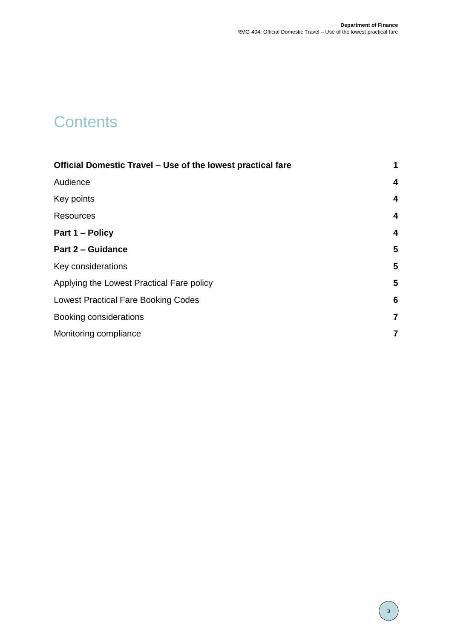# **Contents**

| Official Domestic Travel - Use of the lowest practical fare |                         |  |
|-------------------------------------------------------------|-------------------------|--|
| Audience                                                    | $\overline{\mathbf{4}}$ |  |
| Key points                                                  | $\overline{\mathbf{4}}$ |  |
| <b>Resources</b>                                            | $\overline{\mathbf{4}}$ |  |
| Part 1 – Policy                                             | $\overline{\mathbf{4}}$ |  |
| <b>Part 2 - Guidance</b>                                    | 5                       |  |
| Key considerations                                          | 5                       |  |
| Applying the Lowest Practical Fare policy                   | 5                       |  |
| <b>Lowest Practical Fare Booking Codes</b>                  |                         |  |
| Booking considerations                                      |                         |  |
| Monitoring compliance                                       | 7                       |  |
|                                                             |                         |  |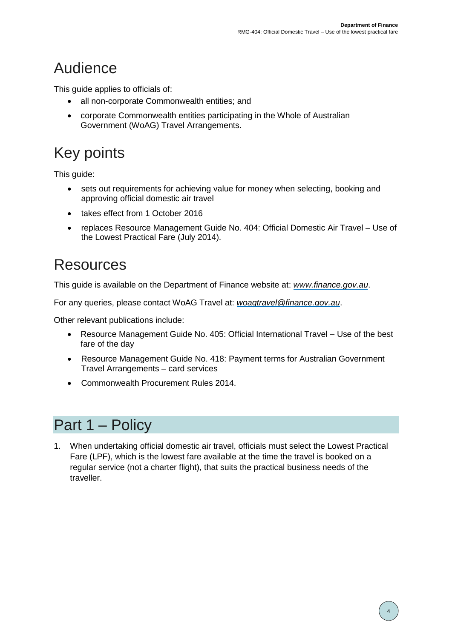# <span id="page-3-0"></span>Audience

This quide applies to officials of:

- all non-corporate Commonwealth entities; and
- corporate Commonwealth entities participating in the Whole of Australian Government (WoAG) Travel Arrangements.

# <span id="page-3-1"></span>Key points

This guide:

- sets out requirements for achieving value for money when selecting, booking and approving official domestic air travel
- takes effect from 1 October 2016
- replaces Resource Management Guide No. 404: Official Domestic Air Travel Use of the Lowest Practical Fare (July 2014).

# <span id="page-3-2"></span>Resources

This guide is available on the Department of Finance website at: *[www.finance.gov.au](http://www.finance.gov.au/)*.

For any queries, please contact WoAG Travel at: *[woagtravel@finance.gov.au](mailto:woagtravel@finance.gov.au)*.

Other relevant publications include:

- Resource Management Guide No. 405: Official International Travel Use of the best fare of the day
- Resource Management Guide No. 418: Payment terms for Australian Government Travel Arrangements – card services
- Commonwealth Procurement Rules 2014.

### <span id="page-3-3"></span>Part 1 – Policy

1. When undertaking official domestic air travel, officials must select the Lowest Practical Fare (LPF), which is the lowest fare available at the time the travel is booked on a regular service (not a charter flight), that suits the practical business needs of the traveller.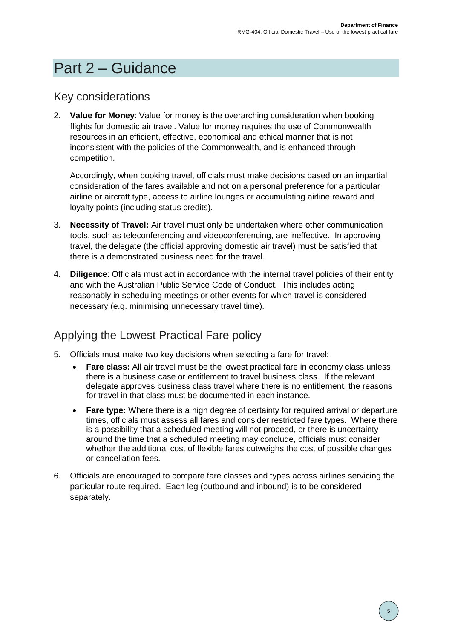### <span id="page-4-0"></span>Part 2 – Guidance

#### <span id="page-4-1"></span>Key considerations

2. **Value for Money**: Value for money is the overarching consideration when booking flights for domestic air travel. Value for money requires the use of Commonwealth resources in an efficient, effective, economical and ethical manner that is not inconsistent with the policies of the Commonwealth, and is enhanced through competition.

Accordingly, when booking travel, officials must make decisions based on an impartial consideration of the fares available and not on a personal preference for a particular airline or aircraft type, access to airline lounges or accumulating airline reward and loyalty points (including status credits).

- 3. **Necessity of Travel:** Air travel must only be undertaken where other communication tools, such as teleconferencing and videoconferencing, are ineffective. In approving travel, the delegate (the official approving domestic air travel) must be satisfied that there is a demonstrated business need for the travel.
- 4. **Diligence**: Officials must act in accordance with the internal travel policies of their entity and with the Australian Public Service Code of Conduct. This includes acting reasonably in scheduling meetings or other events for which travel is considered necessary (e.g. minimising unnecessary travel time).

#### <span id="page-4-2"></span>Applying the Lowest Practical Fare policy

- 5. Officials must make two key decisions when selecting a fare for travel:
	- **Fare class:** All air travel must be the lowest practical fare in economy class unless there is a business case or entitlement to travel business class. If the relevant delegate approves business class travel where there is no entitlement, the reasons for travel in that class must be documented in each instance.
	- Fare type: Where there is a high degree of certainty for required arrival or departure times, officials must assess all fares and consider restricted fare types. Where there is a possibility that a scheduled meeting will not proceed, or there is uncertainty around the time that a scheduled meeting may conclude, officials must consider whether the additional cost of flexible fares outweighs the cost of possible changes or cancellation fees.
- 6. Officials are encouraged to compare fare classes and types across airlines servicing the particular route required. Each leg (outbound and inbound) is to be considered separately.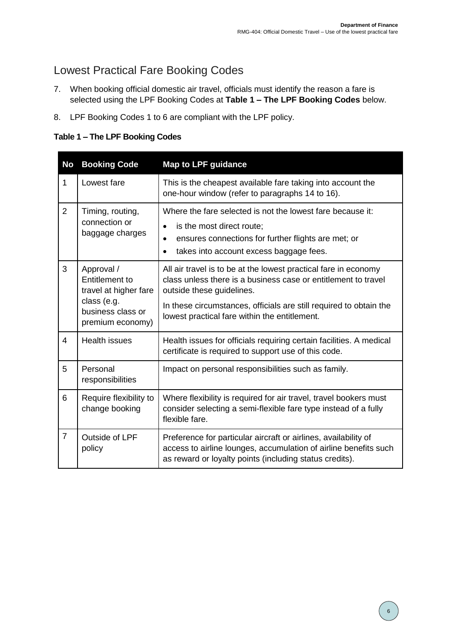#### <span id="page-5-0"></span>Lowest Practical Fare Booking Codes

- 7. When booking official domestic air travel, officials must identify the reason a fare is selected using the LPF Booking Codes at **Table 1 – The LPF Booking Codes** below.
- 8. LPF Booking Codes 1 to 6 are compliant with the LPF policy.

**Table 1 – The LPF Booking Codes**

<span id="page-5-1"></span>

| <b>No</b>      | <b>Booking Code</b>                                                                                                  | <b>Map to LPF guidance</b>                                                                                                                                                                                                                                                            |
|----------------|----------------------------------------------------------------------------------------------------------------------|---------------------------------------------------------------------------------------------------------------------------------------------------------------------------------------------------------------------------------------------------------------------------------------|
| $\mathbf{1}$   | Lowest fare                                                                                                          | This is the cheapest available fare taking into account the<br>one-hour window (refer to paragraphs 14 to 16).                                                                                                                                                                        |
| $\overline{2}$ | Timing, routing,<br>connection or<br>baggage charges                                                                 | Where the fare selected is not the lowest fare because it:<br>is the most direct route;<br>$\bullet$<br>ensures connections for further flights are met; or<br>$\bullet$<br>takes into account excess baggage fees.<br>$\bullet$                                                      |
| 3              | Approval /<br><b>Entitlement to</b><br>travel at higher fare<br>class (e.g.<br>business class or<br>premium economy) | All air travel is to be at the lowest practical fare in economy<br>class unless there is a business case or entitlement to travel<br>outside these guidelines.<br>In these circumstances, officials are still required to obtain the<br>lowest practical fare within the entitlement. |
| 4              | <b>Health issues</b>                                                                                                 | Health issues for officials requiring certain facilities. A medical<br>certificate is required to support use of this code.                                                                                                                                                           |
| 5              | Personal<br>responsibilities                                                                                         | Impact on personal responsibilities such as family.                                                                                                                                                                                                                                   |
| 6              | Require flexibility to<br>change booking                                                                             | Where flexibility is required for air travel, travel bookers must<br>consider selecting a semi-flexible fare type instead of a fully<br>flexible fare.                                                                                                                                |
| $\overline{7}$ | Outside of LPF<br>policy                                                                                             | Preference for particular aircraft or airlines, availability of<br>access to airline lounges, accumulation of airline benefits such<br>as reward or loyalty points (including status credits).                                                                                        |